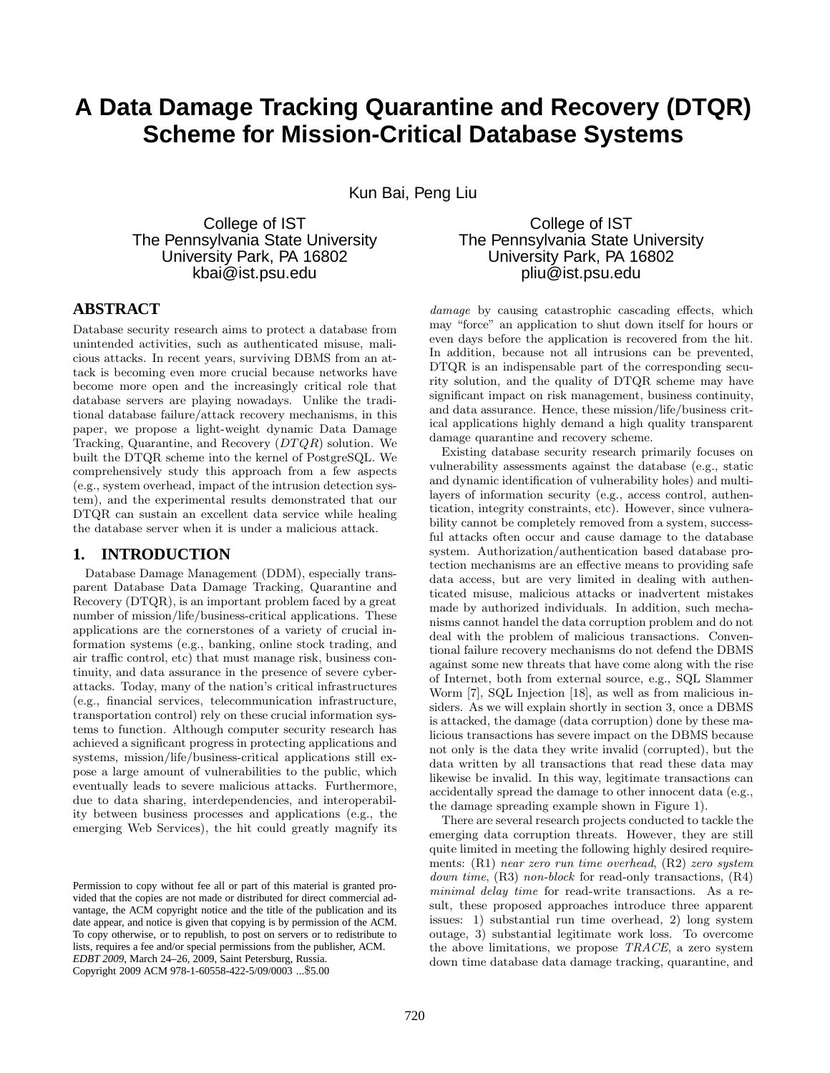# **A Data Damage Tracking Quarantine and Recovery (DTQR) Scheme for Mission-Critical Database Systems**

Kun Bai, Peng Liu

College of IST The Pennsylvania State University University Park, PA 16802 kbai@ist.psu.edu

# College of IST The Pennsylvania State University University Park, PA 16802 pliu@ist.psu.edu

## **ABSTRACT**

Database security research aims to protect a database from unintended activities, such as authenticated misuse, malicious attacks. In recent years, surviving DBMS from an attack is becoming even more crucial because networks have become more open and the increasingly critical role that database servers are playing nowadays. Unlike the traditional database failure/attack recovery mechanisms, in this paper, we propose a light-weight dynamic Data Damage Tracking, Quarantine, and Recovery  $(DTQR)$  solution. We built the DTQR scheme into the kernel of PostgreSQL. We comprehensively study this approach from a few aspects (e.g., system overhead, impact of the intrusion detection system), and the experimental results demonstrated that our DTQR can sustain an excellent data service while healing the database server when it is under a malicious attack.

## **1. INTRODUCTION**

Database Damage Management (DDM), especially transparent Database Data Damage Tracking, Quarantine and Recovery (DTQR), is an important problem faced by a great number of mission/life/business-critical applications. These applications are the cornerstones of a variety of crucial information systems (e.g., banking, online stock trading, and air traffic control, etc) that must manage risk, business continuity, and data assurance in the presence of severe cyberattacks. Today, many of the nation's critical infrastructures (e.g., financial services, telecommunication infrastructure, transportation control) rely on these crucial information systems to function. Although computer security research has achieved a significant progress in protecting applications and systems, mission/life/business-critical applications still expose a large amount of vulnerabilities to the public, which eventually leads to severe malicious attacks. Furthermore, due to data sharing, interdependencies, and interoperability between business processes and applications (e.g., the emerging Web Services), the hit could greatly magnify its

damage by causing catastrophic cascading effects, which may "force" an application to shut down itself for hours or even days before the application is recovered from the hit. In addition, because not all intrusions can be prevented, DTQR is an indispensable part of the corresponding security solution, and the quality of DTQR scheme may have significant impact on risk management, business continuity, and data assurance. Hence, these mission/life/business critical applications highly demand a high quality transparent damage quarantine and recovery scheme.

Existing database security research primarily focuses on vulnerability assessments against the database (e.g., static and dynamic identification of vulnerability holes) and multilayers of information security (e.g., access control, authentication, integrity constraints, etc). However, since vulnerability cannot be completely removed from a system, successful attacks often occur and cause damage to the database system. Authorization/authentication based database protection mechanisms are an effective means to providing safe data access, but are very limited in dealing with authenticated misuse, malicious attacks or inadvertent mistakes made by authorized individuals. In addition, such mechanisms cannot handel the data corruption problem and do not deal with the problem of malicious transactions. Conventional failure recovery mechanisms do not defend the DBMS against some new threats that have come along with the rise of Internet, both from external source, e.g., SQL Slammer Worm [7], SQL Injection [18], as well as from malicious insiders. As we will explain shortly in section 3, once a DBMS is attacked, the damage (data corruption) done by these malicious transactions has severe impact on the DBMS because not only is the data they write invalid (corrupted), but the data written by all transactions that read these data may likewise be invalid. In this way, legitimate transactions can accidentally spread the damage to other innocent data (e.g., the damage spreading example shown in Figure 1).

There are several research projects conducted to tackle the emerging data corruption threats. However, they are still quite limited in meeting the following highly desired requirements: (R1) near zero run time overhead, (R2) zero system down time,  $(R3)$  non-block for read-only transactions,  $(R4)$ minimal delay time for read-write transactions. As a result, these proposed approaches introduce three apparent issues: 1) substantial run time overhead, 2) long system outage, 3) substantial legitimate work loss. To overcome the above limitations, we propose TRACE, a zero system down time database data damage tracking, quarantine, and

Permission to copy without fee all or part of this material is granted provided that the copies are not made or distributed for direct commercial advantage, the ACM copyright notice and the title of the publication and its date appear, and notice is given that copying is by permission of the ACM. To copy otherwise, or to republish, to post on servers or to redistribute to lists, requires a fee and/or special permissions from the publisher, ACM. *EDBT 2009*, March 24–26, 2009, Saint Petersburg, Russia. Copyright 2009 ACM 978-1-60558-422-5/09/0003 ...\$5.00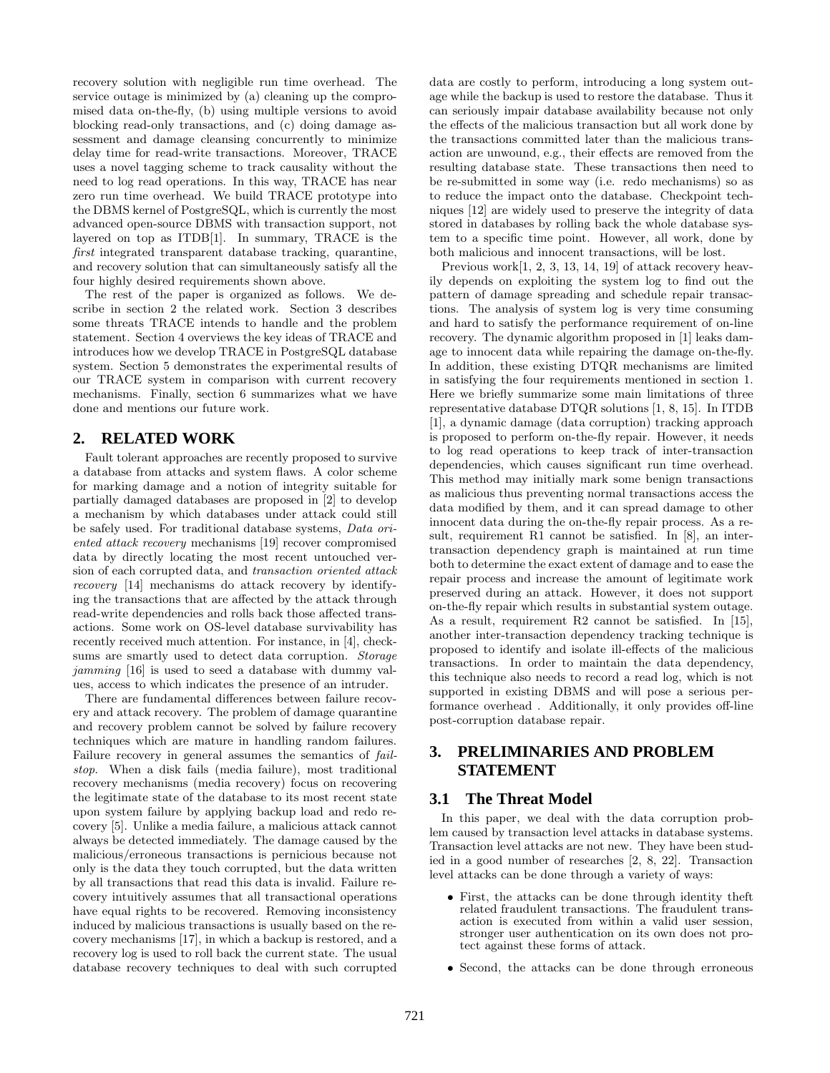recovery solution with negligible run time overhead. The service outage is minimized by (a) cleaning up the compromised data on-the-fly, (b) using multiple versions to avoid blocking read-only transactions, and (c) doing damage assessment and damage cleansing concurrently to minimize delay time for read-write transactions. Moreover, TRACE uses a novel tagging scheme to track causality without the need to log read operations. In this way, TRACE has near zero run time overhead. We build TRACE prototype into the DBMS kernel of PostgreSQL, which is currently the most advanced open-source DBMS with transaction support, not layered on top as ITDB[1]. In summary, TRACE is the first integrated transparent database tracking, quarantine, and recovery solution that can simultaneously satisfy all the four highly desired requirements shown above.

The rest of the paper is organized as follows. We describe in section 2 the related work. Section 3 describes some threats TRACE intends to handle and the problem statement. Section 4 overviews the key ideas of TRACE and introduces how we develop TRACE in PostgreSQL database system. Section 5 demonstrates the experimental results of our TRACE system in comparison with current recovery mechanisms. Finally, section 6 summarizes what we have done and mentions our future work.

## **2. RELATED WORK**

Fault tolerant approaches are recently proposed to survive a database from attacks and system flaws. A color scheme for marking damage and a notion of integrity suitable for partially damaged databases are proposed in [2] to develop a mechanism by which databases under attack could still be safely used. For traditional database systems, Data oriented attack recovery mechanisms [19] recover compromised data by directly locating the most recent untouched version of each corrupted data, and transaction oriented attack recovery [14] mechanisms do attack recovery by identifying the transactions that are affected by the attack through read-write dependencies and rolls back those affected transactions. Some work on OS-level database survivability has recently received much attention. For instance, in [4], checksums are smartly used to detect data corruption. Storage jamming [16] is used to seed a database with dummy values, access to which indicates the presence of an intruder.

There are fundamental differences between failure recovery and attack recovery. The problem of damage quarantine and recovery problem cannot be solved by failure recovery techniques which are mature in handling random failures. Failure recovery in general assumes the semantics of failstop. When a disk fails (media failure), most traditional recovery mechanisms (media recovery) focus on recovering the legitimate state of the database to its most recent state upon system failure by applying backup load and redo recovery [5]. Unlike a media failure, a malicious attack cannot always be detected immediately. The damage caused by the malicious/erroneous transactions is pernicious because not only is the data they touch corrupted, but the data written by all transactions that read this data is invalid. Failure recovery intuitively assumes that all transactional operations have equal rights to be recovered. Removing inconsistency induced by malicious transactions is usually based on the recovery mechanisms [17], in which a backup is restored, and a recovery log is used to roll back the current state. The usual database recovery techniques to deal with such corrupted data are costly to perform, introducing a long system outage while the backup is used to restore the database. Thus it can seriously impair database availability because not only the effects of the malicious transaction but all work done by the transactions committed later than the malicious transaction are unwound, e.g., their effects are removed from the resulting database state. These transactions then need to be re-submitted in some way (i.e. redo mechanisms) so as to reduce the impact onto the database. Checkpoint techniques [12] are widely used to preserve the integrity of data stored in databases by rolling back the whole database system to a specific time point. However, all work, done by both malicious and innocent transactions, will be lost.

Previous work[1, 2, 3, 13, 14, 19] of attack recovery heavily depends on exploiting the system log to find out the pattern of damage spreading and schedule repair transactions. The analysis of system log is very time consuming and hard to satisfy the performance requirement of on-line recovery. The dynamic algorithm proposed in [1] leaks damage to innocent data while repairing the damage on-the-fly. In addition, these existing DTQR mechanisms are limited in satisfying the four requirements mentioned in section 1. Here we briefly summarize some main limitations of three representative database DTQR solutions [1, 8, 15]. In ITDB [1], a dynamic damage (data corruption) tracking approach is proposed to perform on-the-fly repair. However, it needs to log read operations to keep track of inter-transaction dependencies, which causes significant run time overhead. This method may initially mark some benign transactions as malicious thus preventing normal transactions access the data modified by them, and it can spread damage to other innocent data during the on-the-fly repair process. As a result, requirement R1 cannot be satisfied. In [8], an intertransaction dependency graph is maintained at run time both to determine the exact extent of damage and to ease the repair process and increase the amount of legitimate work preserved during an attack. However, it does not support on-the-fly repair which results in substantial system outage. As a result, requirement R2 cannot be satisfied. In [15], another inter-transaction dependency tracking technique is proposed to identify and isolate ill-effects of the malicious transactions. In order to maintain the data dependency, this technique also needs to record a read log, which is not supported in existing DBMS and will pose a serious performance overhead . Additionally, it only provides off-line post-corruption database repair.

# **3. PRELIMINARIES AND PROBLEM STATEMENT**

## **3.1 The Threat Model**

In this paper, we deal with the data corruption problem caused by transaction level attacks in database systems. Transaction level attacks are not new. They have been studied in a good number of researches [2, 8, 22]. Transaction level attacks can be done through a variety of ways:

- First, the attacks can be done through identity theft related fraudulent transactions. The fraudulent transaction is executed from within a valid user session, stronger user authentication on its own does not protect against these forms of attack.
- Second, the attacks can be done through erroneous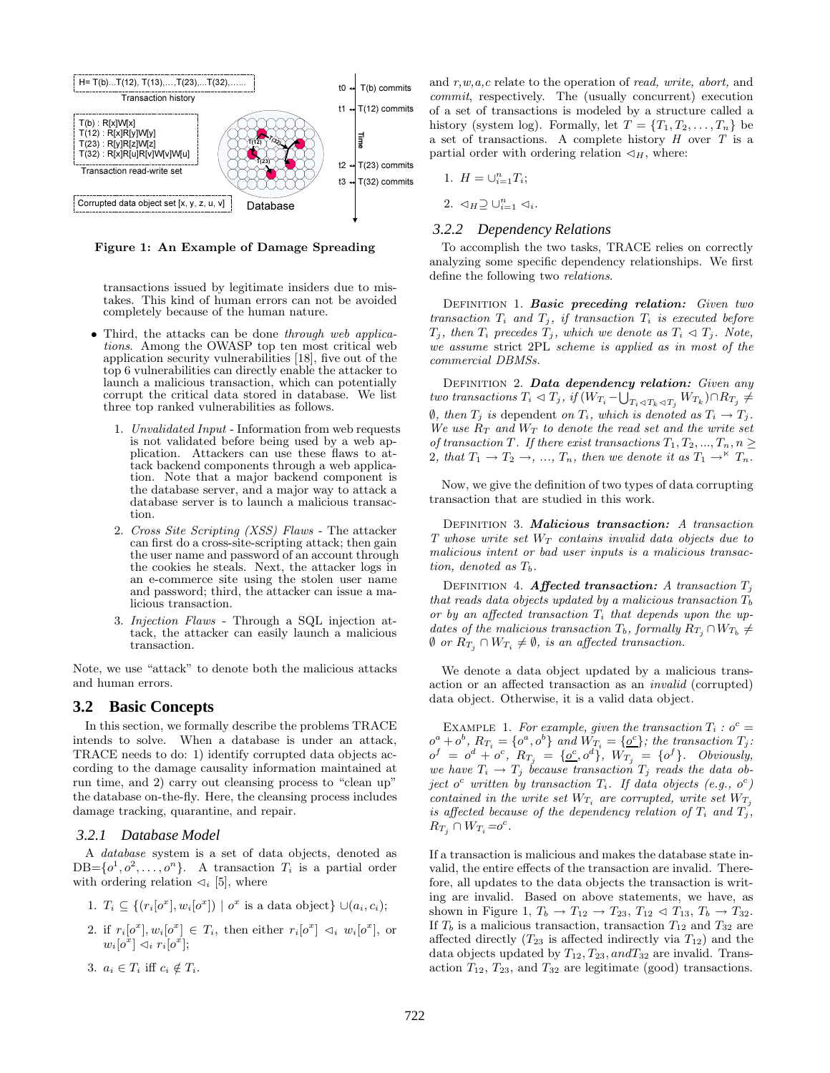

Figure 1: An Example of Damage Spreading

transactions issued by legitimate insiders due to mistakes. This kind of human errors can not be avoided completely because of the human nature.

- Third, the attacks can be done through web applications. Among the OWASP top ten most critical web application security vulnerabilities [18], five out of the top 6 vulnerabilities can directly enable the attacker to launch a malicious transaction, which can potentially corrupt the critical data stored in database. We list three top ranked vulnerabilities as follows.
	- 1. Unvalidated Input Information from web requests is not validated before being used by a web application. Attackers can use these flaws to attack backend components through a web application. Note that a major backend component is the database server, and a major way to attack a database server is to launch a malicious transaction.
	- 2. Cross Site Scripting (XSS) Flaws The attacker can first do a cross-site-scripting attack; then gain the user name and password of an account through the cookies he steals. Next, the attacker logs in an e-commerce site using the stolen user name and password; third, the attacker can issue a malicious transaction.
	- 3. Injection Flaws Through a SQL injection attack, the attacker can easily launch a malicious transaction.

Note, we use "attack" to denote both the malicious attacks and human errors.

## **3.2 Basic Concepts**

In this section, we formally describe the problems TRACE intends to solve. When a database is under an attack, TRACE needs to do: 1) identify corrupted data objects according to the damage causality information maintained at run time, and 2) carry out cleansing process to "clean up" the database on-the-fly. Here, the cleansing process includes damage tracking, quarantine, and repair.

#### *3.2.1 Database Model*

A database system is a set of data objects, denoted as  $DB = \{o^1, o^2, \ldots, o^n\}.$  A transaction  $T_i$  is a partial order with ordering relation  $\lhd_i$  [5], where

- 1.  $T_i \subseteq \{(r_i[\sigma^x], w_i[\sigma^x]) \mid \sigma^x \text{ is a data object}\} \cup (a_i, c_i);$
- 2. if  $r_i[\sigma^x], w_i[\sigma^x] \in T_i$ , then either  $r_i[\sigma^x] \prec_i w_i[\sigma^x]$ , or  $w_i[o^x] \triangleleft_i r_i[o^x];$
- 3.  $a_i \in T_i$  iff  $c_i \notin T_i$ .

and  $r, w, a, c$  relate to the operation of *read, write, abort*, and commit, respectively. The (usually concurrent) execution of a set of transactions is modeled by a structure called a history (system log). Formally, let  $T = \{T_1, T_2, \ldots, T_n\}$  be a set of transactions. A complete history  $H$  over  $T$  is a partial order with ordering relation  $\triangleleft_H$ , where:

$$
1. H = \cup_{i=1}^n T_i;
$$

$$
2. \ \ \triangleleft_H \supseteq \cup_{i=1}^n \ \triangleleft_i.
$$

#### *3.2.2 Dependency Relations*

To accomplish the two tasks, TRACE relies on correctly analyzing some specific dependency relationships. We first define the following two relations.

DEFINITION 1. Basic preceding relation: Given two transaction  $T_i$  and  $T_j$ , if transaction  $T_i$  is executed before  $T_i$ , then  $T_i$  precedes  $T_j$ , which we denote as  $T_i \lhd T_j$ . Note, we assume strict 2PL scheme is applied as in most of the commercial DBMSs.

DEFINITION 2. Data dependency relation: Given any two transactions  $T_i \lhd T_j$ , if  $(W_{T_i} - \bigcup_{T_i \lhd T_k \lhd T_j} W_{T_k}) \cap R_{T_j} \neq$  $\emptyset$ , then  $T_j$  is dependent on  $T_i$ , which is denoted as  $T_i \to T_j$ . We use  $R_T$  and  $W_T$  to denote the read set and the write set of transaction T. If there exist transactions  $T_1, T_2, ..., T_n, n \geq$ 2, that  $T_1 \rightarrow T_2 \rightarrow \ldots$ ,  $T_n$ , then we denote it as  $T_1 \rightarrow^{\ltimes} T_n$ .

Now, we give the definition of two types of data corrupting transaction that are studied in this work.

DEFINITION 3. Malicious transaction: A transaction T whose write set  $W_T$  contains invalid data objects due to malicious intent or bad user inputs is a malicious transaction, denoted as  $T_b$ .

DEFINITION 4. Affected transaction: A transaction  $T_i$ that reads data objects updated by a malicious transaction  $T_b$ or by an affected transaction  $T_i$  that depends upon the updates of the malicious transaction  $T_b$ , formally  $R_{T_i} \cap W_{T_b} \neq$  $\emptyset$  or  $R_{T_i} ∩ W_{T_i} \neq \emptyset$ , is an affected transaction.

We denote a data object updated by a malicious transaction or an affected transaction as an invalid (corrupted) data object. Otherwise, it is a valid data object.

EXAMPLE 1. For example, given the transaction  $T_i : o^c =$  $o^a + o^b$ ,  $R_{T_i} = \{o^a, o^b\}$  and  $W_{T_i} = \{\underline{o^c}\}\$ ; the transaction  $T_j$ :  $o^f = o^d + o^c$ ,  $R_{T_i} = \{ \underline{o}^c, o^d \}$ ,  $W_{T_i} = \{ o^f \}$ . Obviously, we have  $T_i \rightarrow T_j$  because transaction  $T_j$  reads the data object o<sup>c</sup> written by transaction  $T_i$ . If data objects (e.g., o<sup>c</sup>) contained in the write set  $W_{T_i}$  are corrupted, write set  $W_{T_i}$ is affected because of the dependency relation of  $T_i$  and  $T_j$ ,  $R_{T_i} \cap W_{T_i} = o^c$ .

If a transaction is malicious and makes the database state invalid, the entire effects of the transaction are invalid. Therefore, all updates to the data objects the transaction is writing are invalid. Based on above statements, we have, as shown in Figure 1,  $T_b \to T_{12} \to T_{23}$ ,  $T_{12} \to T_{13}$ ,  $T_b \to T_{32}$ . If  $T_b$  is a malicious transaction, transaction  $T_{12}$  and  $T_{32}$  are affected directly  $(T_{23}$  is affected indirectly via  $T_{12}$ ) and the data objects updated by  $T_{12}$ ,  $T_{23}$ , and  $T_{32}$  are invalid. Transaction  $T_{12}$ ,  $T_{23}$ , and  $T_{32}$  are legitimate (good) transactions.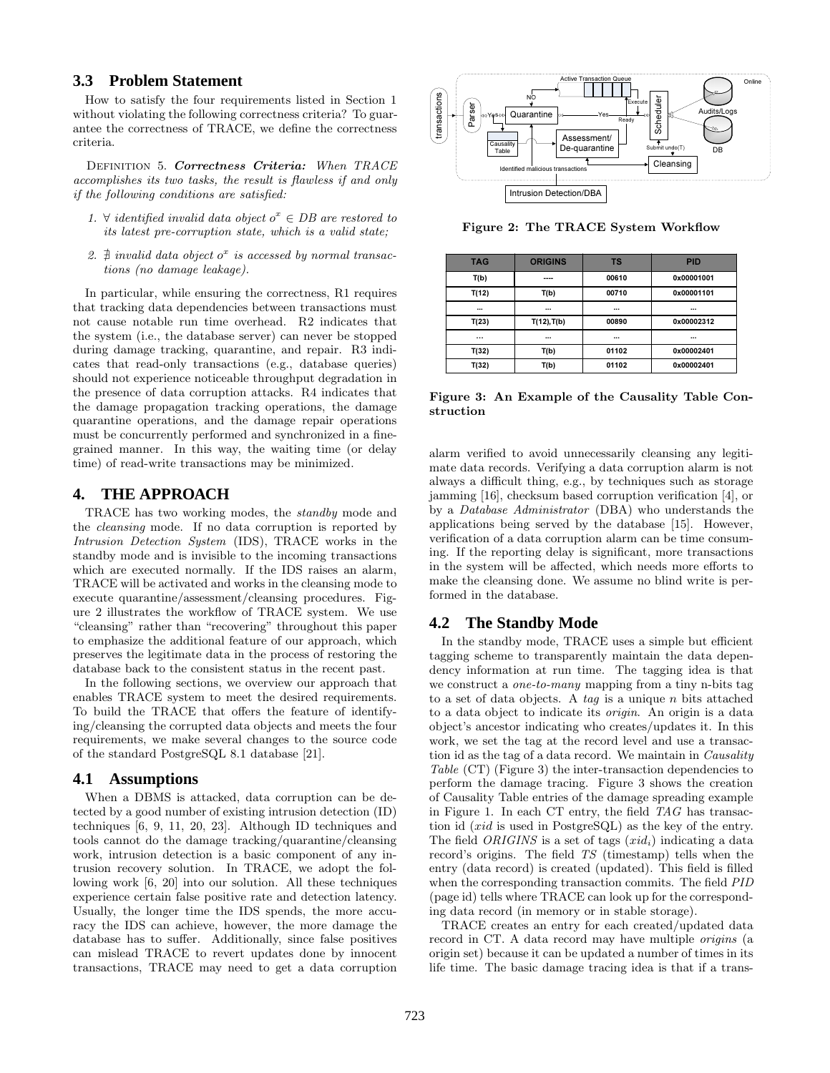## **3.3 Problem Statement**

How to satisfy the four requirements listed in Section 1 without violating the following correctness criteria? To guarantee the correctness of TRACE, we define the correctness criteria.

DEFINITION 5. Correctness Criteria: When TRACE accomplishes its two tasks, the result is flawless if and only if the following conditions are satisfied:

- 1. ∀ identified invalid data object  $o^x \in DB$  are restored to its latest pre-corruption state, which is a valid state;
- 2.  $\sharp$  invalid data object  $o^x$  is accessed by normal transactions (no damage leakage).

In particular, while ensuring the correctness, R1 requires that tracking data dependencies between transactions must not cause notable run time overhead. R2 indicates that the system (i.e., the database server) can never be stopped during damage tracking, quarantine, and repair. R3 indicates that read-only transactions (e.g., database queries) should not experience noticeable throughput degradation in the presence of data corruption attacks. R4 indicates that the damage propagation tracking operations, the damage quarantine operations, and the damage repair operations must be concurrently performed and synchronized in a finegrained manner. In this way, the waiting time (or delay time) of read-write transactions may be minimized.

## **4. THE APPROACH**

TRACE has two working modes, the standby mode and the cleansing mode. If no data corruption is reported by Intrusion Detection System (IDS), TRACE works in the standby mode and is invisible to the incoming transactions which are executed normally. If the IDS raises an alarm, TRACE will be activated and works in the cleansing mode to execute quarantine/assessment/cleansing procedures. Figure 2 illustrates the workflow of TRACE system. We use "cleansing" rather than "recovering" throughout this paper to emphasize the additional feature of our approach, which preserves the legitimate data in the process of restoring the database back to the consistent status in the recent past.

In the following sections, we overview our approach that enables TRACE system to meet the desired requirements. To build the TRACE that offers the feature of identifying/cleansing the corrupted data objects and meets the four requirements, we make several changes to the source code of the standard PostgreSQL 8.1 database [21].

#### **4.1 Assumptions**

When a DBMS is attacked, data corruption can be detected by a good number of existing intrusion detection (ID) techniques [6, 9, 11, 20, 23]. Although ID techniques and tools cannot do the damage tracking/quarantine/cleansing work, intrusion detection is a basic component of any intrusion recovery solution. In TRACE, we adopt the following work [6, 20] into our solution. All these techniques experience certain false positive rate and detection latency. Usually, the longer time the IDS spends, the more accuracy the IDS can achieve, however, the more damage the database has to suffer. Additionally, since false positives can mislead TRACE to revert updates done by innocent transactions, TRACE may need to get a data corruption



Figure 2: The TRACE System Workflow

| <b>TAG</b> | <b>ORIGINS</b> | <b>TS</b> | <b>PID</b> |
|------------|----------------|-----------|------------|
| T(b)       | ----           | 00610     | 0x00001001 |
| T(12)      | T(b)           | 00710     | 0x00001101 |
| $\cdots$   | $\cdots$       |           | $\cdots$   |
| T(23)      | T(12), T(b)    | 00890     | 0x00002312 |
| $\cdots$   | $\cdots$       |           | $\cdots$   |
| T(32)      | T(b)           | 01102     | 0x00002401 |
| T(32)      | T(b)           | 01102     | 0x00002401 |

Figure 3: An Example of the Causality Table Construction

alarm verified to avoid unnecessarily cleansing any legitimate data records. Verifying a data corruption alarm is not always a difficult thing, e.g., by techniques such as storage jamming [16], checksum based corruption verification [4], or by a Database Administrator (DBA) who understands the applications being served by the database [15]. However, verification of a data corruption alarm can be time consuming. If the reporting delay is significant, more transactions in the system will be affected, which needs more efforts to make the cleansing done. We assume no blind write is performed in the database.

## **4.2 The Standby Mode**

In the standby mode, TRACE uses a simple but efficient tagging scheme to transparently maintain the data dependency information at run time. The tagging idea is that we construct a one-to-many mapping from a tiny n-bits tag to a set of data objects. A tag is a unique  $n$  bits attached to a data object to indicate its origin. An origin is a data object's ancestor indicating who creates/updates it. In this work, we set the tag at the record level and use a transaction id as the tag of a data record. We maintain in Causality Table (CT) (Figure 3) the inter-transaction dependencies to perform the damage tracing. Figure 3 shows the creation of Causality Table entries of the damage spreading example in Figure 1. In each CT entry, the field TAG has transaction id (xid is used in PostgreSQL) as the key of the entry. The field *ORIGINS* is a set of tags  $(xid_i)$  indicating a data record's origins. The field TS (timestamp) tells when the entry (data record) is created (updated). This field is filled when the corresponding transaction commits. The field PID (page id) tells where TRACE can look up for the corresponding data record (in memory or in stable storage).

TRACE creates an entry for each created/updated data record in CT. A data record may have multiple origins (a origin set) because it can be updated a number of times in its life time. The basic damage tracing idea is that if a trans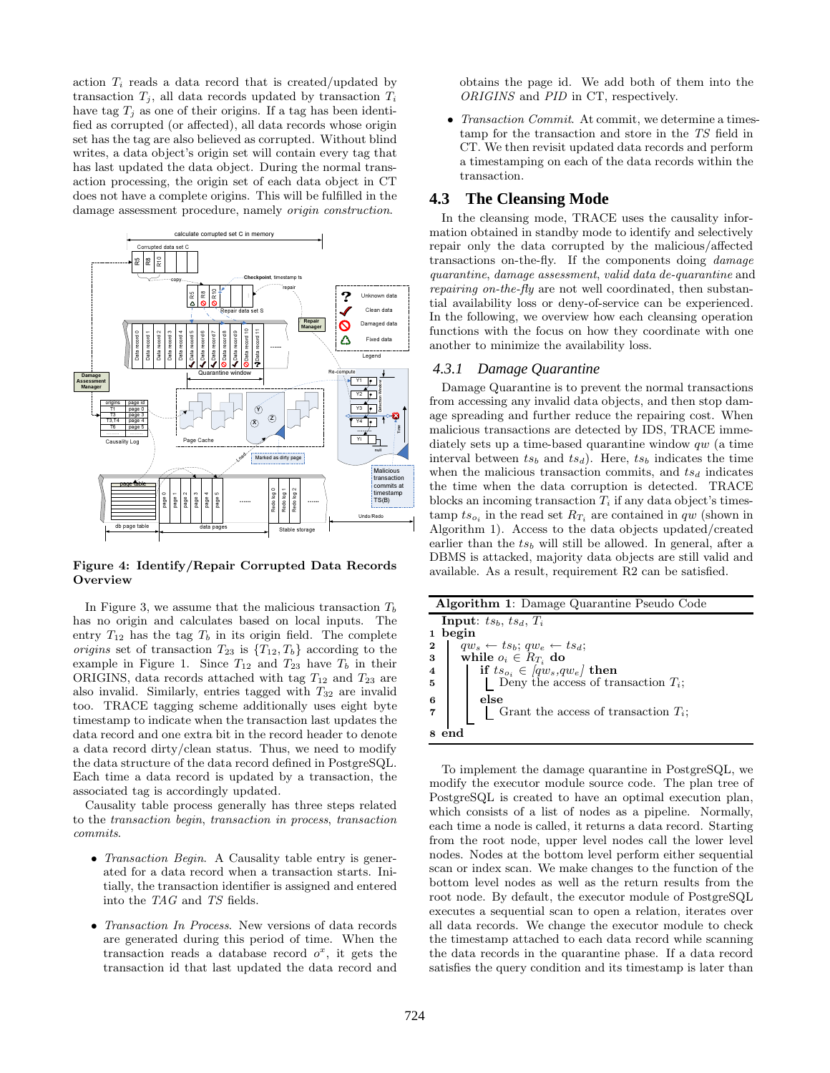action  $T_i$  reads a data record that is created/updated by transaction  $T_j$ , all data records updated by transaction  $T_i$ have tag  $T_j$  as one of their origins. If a tag has been identified as corrupted (or affected), all data records whose origin set has the tag are also believed as corrupted. Without blind writes, a data object's origin set will contain every tag that has last updated the data object. During the normal transaction processing, the origin set of each data object in CT does not have a complete origins. This will be fulfilled in the damage assessment procedure, namely origin construction.



Figure 4: Identify/Repair Corrupted Data Records **Overview** 

In Figure 3, we assume that the malicious transaction  $T<sub>b</sub>$ has no origin and calculates based on local inputs. The entry  $T_{12}$  has the tag  $T_b$  in its origin field. The complete origins set of transaction  $T_{23}$  is  $\{T_{12}, T_b\}$  according to the example in Figure 1. Since  $T_{12}$  and  $T_{23}$  have  $T_b$  in their ORIGINS, data records attached with tag  $T_{12}$  and  $T_{23}$  are also invalid. Similarly, entries tagged with  $T_{32}$  are invalid too. TRACE tagging scheme additionally uses eight byte timestamp to indicate when the transaction last updates the data record and one extra bit in the record header to denote a data record dirty/clean status. Thus, we need to modify the data structure of the data record defined in PostgreSQL. Each time a data record is updated by a transaction, the associated tag is accordingly updated.

Causality table process generally has three steps related to the transaction begin, transaction in process, transaction commits.

- *Transaction Begin.* A Causality table entry is generated for a data record when a transaction starts. Initially, the transaction identifier is assigned and entered into the TAG and TS fields.
- Transaction In Process. New versions of data records are generated during this period of time. When the transaction reads a database record  $o^x$ , it gets the transaction id that last updated the data record and

obtains the page id. We add both of them into the ORIGINS and PID in CT, respectively.

• *Transaction Commit.* At commit, we determine a timestamp for the transaction and store in the TS field in CT. We then revisit updated data records and perform a timestamping on each of the data records within the transaction.

## **4.3 The Cleansing Mode**

In the cleansing mode, TRACE uses the causality information obtained in standby mode to identify and selectively repair only the data corrupted by the malicious/affected transactions on-the-fly. If the components doing damage quarantine, damage assessment, valid data de-quarantine and repairing on-the-fly are not well coordinated, then substantial availability loss or deny-of-service can be experienced. In the following, we overview how each cleansing operation functions with the focus on how they coordinate with one another to minimize the availability loss.

#### *4.3.1 Damage Quarantine*

Damage Quarantine is to prevent the normal transactions from accessing any invalid data objects, and then stop damage spreading and further reduce the repairing cost. When malicious transactions are detected by IDS, TRACE immediately sets up a time-based quarantine window  $qw$  (a time interval between  $ts_b$  and  $ts_d$ ). Here,  $ts_b$  indicates the time when the malicious transaction commits, and  $ts_d$  indicates the time when the data corruption is detected. TRACE blocks an incoming transaction  $T_i$  if any data object's timestamp  $ts_{o_i}$  in the read set  $R_{T_i}$  are contained in qw (shown in Algorithm 1). Access to the data objects updated/created earlier than the  $ts_b$  will still be allowed. In general, after a DBMS is attacked, majority data objects are still valid and available. As a result, requirement R2 can be satisfied.

| <b>Algorithm 1:</b> Damage Quarantine Pseudo Code                 |  |  |  |
|-------------------------------------------------------------------|--|--|--|
| Input: $ts_b$ , $ts_d$ , $T_i$                                    |  |  |  |
| begin                                                             |  |  |  |
| $qw_s \leftarrow ts_b; qw_e \leftarrow ts_d;$<br>$\boldsymbol{2}$ |  |  |  |
| while $o_i \in R_{T_i}$ do<br>3                                   |  |  |  |
| if $ts_{o_i} \in [qw_s, qw_e]$ then<br>$\overline{\mathbf{4}}$    |  |  |  |
| Deny the access of transaction $T_i$ ;<br>-5                      |  |  |  |
| else<br>6                                                         |  |  |  |
| $\overline{7}$<br>Grant the access of transaction $T_i$ ;         |  |  |  |
|                                                                   |  |  |  |

To implement the damage quarantine in PostgreSQL, we modify the executor module source code. The plan tree of PostgreSQL is created to have an optimal execution plan, which consists of a list of nodes as a pipeline. Normally, each time a node is called, it returns a data record. Starting from the root node, upper level nodes call the lower level nodes. Nodes at the bottom level perform either sequential scan or index scan. We make changes to the function of the bottom level nodes as well as the return results from the root node. By default, the executor module of PostgreSQL executes a sequential scan to open a relation, iterates over all data records. We change the executor module to check the timestamp attached to each data record while scanning the data records in the quarantine phase. If a data record satisfies the query condition and its timestamp is later than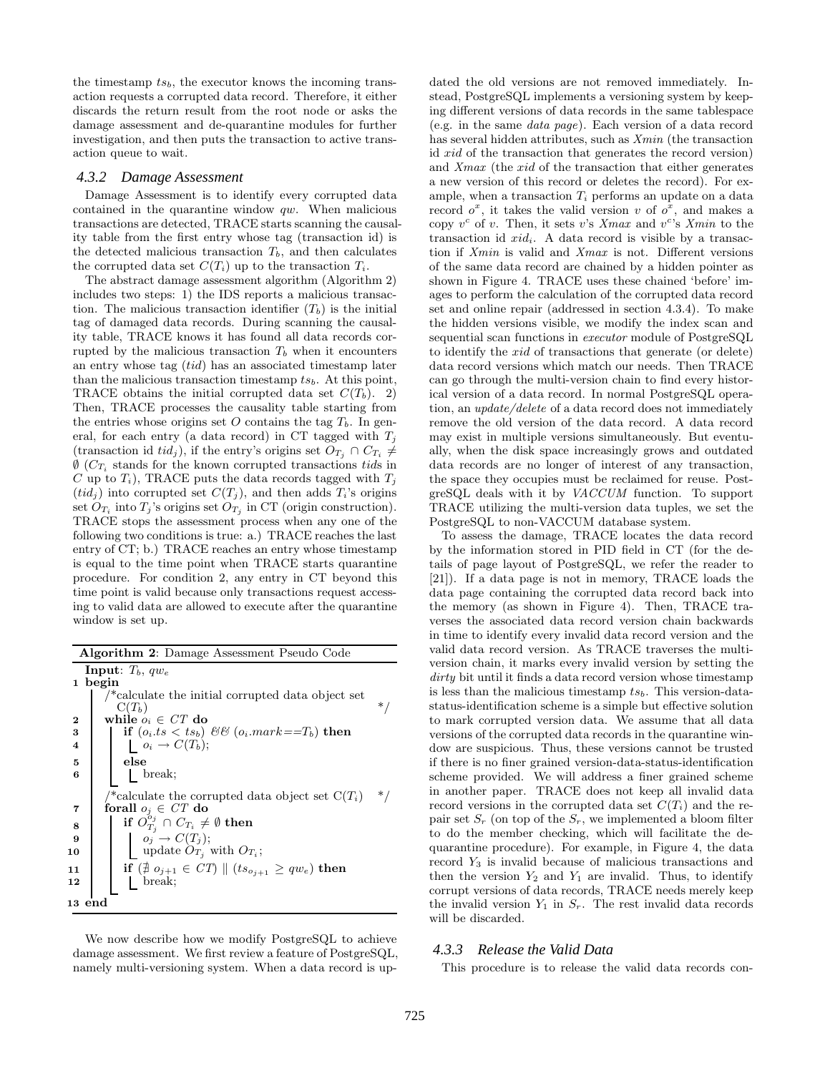the timestamp  $ts<sub>b</sub>$ , the executor knows the incoming transaction requests a corrupted data record. Therefore, it either discards the return result from the root node or asks the damage assessment and de-quarantine modules for further investigation, and then puts the transaction to active transaction queue to wait.

#### *4.3.2 Damage Assessment*

Damage Assessment is to identify every corrupted data contained in the quarantine window  $qw$ . When malicious transactions are detected, TRACE starts scanning the causality table from the first entry whose tag (transaction id) is the detected malicious transaction  $T_b$ , and then calculates the corrupted data set  $C(T_i)$  up to the transaction  $T_i$ .

The abstract damage assessment algorithm (Algorithm 2) includes two steps: 1) the IDS reports a malicious transaction. The malicious transaction identifier  $(T_b)$  is the initial tag of damaged data records. During scanning the causality table, TRACE knows it has found all data records corrupted by the malicious transaction  $T_b$  when it encounters an entry whose tag (tid) has an associated timestamp later than the malicious transaction timestamp  $ts_b$ . At this point, TRACE obtains the initial corrupted data set  $C(T_b)$ . 2) Then, TRACE processes the causality table starting from the entries whose origins set O contains the tag  $T<sub>b</sub>$ . In general, for each entry (a data record) in CT tagged with  $T_i$ (transaction id  $tid_j$ ), if the entry's origins set  $O_{T_i} \cap C_{T_i} \neq$  $\emptyset$  ( $C_{T_i}$  stands for the known corrupted transactions tids in C up to  $T_i$ ), TRACE puts the data records tagged with  $T_i$  $(tid<sub>j</sub>)$  into corrupted set  $C(T<sub>j</sub>)$ , and then adds  $T<sub>i</sub>$ 's origins set  $O_{T_i}$  into  $T_j$ 's origins set  $O_{T_j}$  in CT (origin construction). TRACE stops the assessment process when any one of the following two conditions is true: a.) TRACE reaches the last entry of CT; b.) TRACE reaches an entry whose timestamp is equal to the time point when TRACE starts quarantine procedure. For condition 2, any entry in CT beyond this time point is valid because only transactions request accessing to valid data are allowed to execute after the quarantine window is set up.

| <b>Algorithm 2:</b> Damage Assessment Pseudo Code                            |       |
|------------------------------------------------------------------------------|-------|
| <b>Input</b> : $T_b$ , $qw_e$                                                |       |
| begin<br>1                                                                   |       |
| /*calculate the initial corrupted data object set                            |       |
| $C(T_h)$                                                                     | $*$ / |
| while $o_i \in CT$ do<br>$\mathbf 2$                                         |       |
| if $(o_i.ts < ts_b)$ && $(o_i.maxk == T_b)$ then<br>3                        |       |
| $o_i \rightarrow C(T_b);$<br>4                                               |       |
| else<br>5                                                                    |       |
| break;<br>6                                                                  |       |
|                                                                              |       |
| /*calculate the corrupted data object set $C(T_i)$                           | */    |
| forall $o_i \in CT$ do<br>7                                                  |       |
| if $O_{T_i}^{o_j} \cap C_{T_i} \neq \emptyset$ then<br>8                     |       |
| $o_j \rightarrow C(T_j);$<br>9                                               |       |
| update $\overline{O_{T_i}}$ with $O_{T_i}$ ;<br>10                           |       |
| if $(\nexists o_{j+1} \in CT) \parallel (ts_{o_{j+1}} \geq qw_e)$ then<br>11 |       |
| break:<br>12                                                                 |       |
| 13 end                                                                       |       |
|                                                                              |       |

We now describe how we modify PostgreSQL to achieve damage assessment. We first review a feature of PostgreSQL, namely multi-versioning system. When a data record is updated the old versions are not removed immediately. Instead, PostgreSQL implements a versioning system by keeping different versions of data records in the same tablespace (e.g. in the same data page). Each version of a data record has several hidden attributes, such as Xmin (the transaction id xid of the transaction that generates the record version) and Xmax (the xid of the transaction that either generates a new version of this record or deletes the record). For example, when a transaction  $T_i$  performs an update on a data record  $o^x$ , it takes the valid version v of  $o^x$ , and makes a copy  $v^c$  of v. Then, it sets v's Xmax and  $v^c$ 's Xmin to the transaction id  $xid_i$ . A data record is visible by a transaction if Xmin is valid and Xmax is not. Different versions of the same data record are chained by a hidden pointer as shown in Figure 4. TRACE uses these chained 'before' images to perform the calculation of the corrupted data record set and online repair (addressed in section 4.3.4). To make the hidden versions visible, we modify the index scan and sequential scan functions in executor module of PostgreSQL to identify the xid of transactions that generate (or delete) data record versions which match our needs. Then TRACE can go through the multi-version chain to find every historical version of a data record. In normal PostgreSQL operation, an update/delete of a data record does not immediately remove the old version of the data record. A data record may exist in multiple versions simultaneously. But eventually, when the disk space increasingly grows and outdated data records are no longer of interest of any transaction, the space they occupies must be reclaimed for reuse. PostgreSQL deals with it by VACCUM function. To support TRACE utilizing the multi-version data tuples, we set the PostgreSQL to non-VACCUM database system.

To assess the damage, TRACE locates the data record by the information stored in PID field in CT (for the details of page layout of PostgreSQL, we refer the reader to [21]). If a data page is not in memory, TRACE loads the data page containing the corrupted data record back into the memory (as shown in Figure 4). Then, TRACE traverses the associated data record version chain backwards in time to identify every invalid data record version and the valid data record version. As TRACE traverses the multiversion chain, it marks every invalid version by setting the dirty bit until it finds a data record version whose timestamp is less than the malicious timestamp  $ts_b$ . This version-datastatus-identification scheme is a simple but effective solution to mark corrupted version data. We assume that all data versions of the corrupted data records in the quarantine window are suspicious. Thus, these versions cannot be trusted if there is no finer grained version-data-status-identification scheme provided. We will address a finer grained scheme in another paper. TRACE does not keep all invalid data record versions in the corrupted data set  $C(T_i)$  and the repair set  $S_r$  (on top of the  $S_r$ , we implemented a bloom filter to do the member checking, which will facilitate the dequarantine procedure). For example, in Figure 4, the data record  $Y_3$  is invalid because of malicious transactions and then the version  $Y_2$  and  $Y_1$  are invalid. Thus, to identify corrupt versions of data records, TRACE needs merely keep the invalid version  $Y_1$  in  $S_r$ . The rest invalid data records will be discarded.

#### *4.3.3 Release the Valid Data*

This procedure is to release the valid data records con-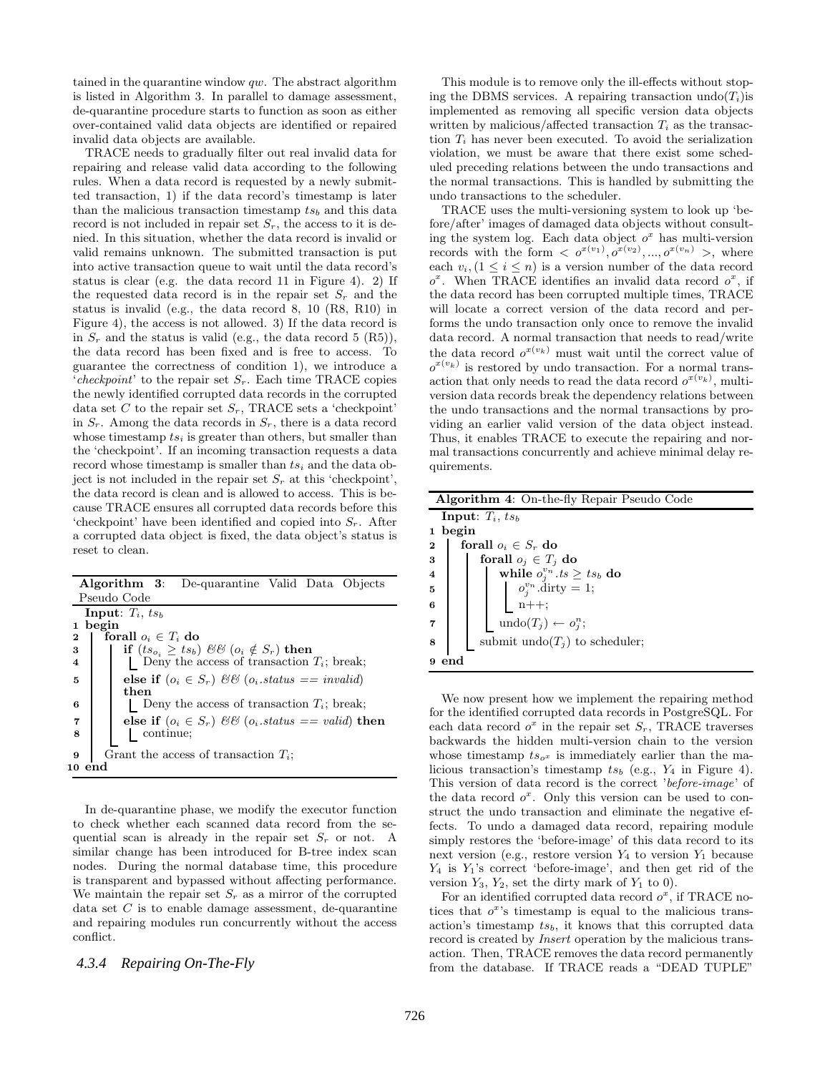tained in the quarantine window  $qw$ . The abstract algorithm is listed in Algorithm 3. In parallel to damage assessment, de-quarantine procedure starts to function as soon as either over-contained valid data objects are identified or repaired invalid data objects are available.

TRACE needs to gradually filter out real invalid data for repairing and release valid data according to the following rules. When a data record is requested by a newly submitted transaction, 1) if the data record's timestamp is later than the malicious transaction timestamp  $ts_b$  and this data record is not included in repair set  $S_r$ , the access to it is denied. In this situation, whether the data record is invalid or valid remains unknown. The submitted transaction is put into active transaction queue to wait until the data record's status is clear (e.g. the data record 11 in Figure 4). 2) If the requested data record is in the repair set  $S_r$  and the status is invalid (e.g., the data record 8, 10 (R8, R10) in Figure 4), the access is not allowed. 3) If the data record is in  $S_r$  and the status is valid (e.g., the data record 5 (R5)), the data record has been fixed and is free to access. To guarantee the correctness of condition 1), we introduce a 'checkpoint' to the repair set  $S_r$ . Each time TRACE copies the newly identified corrupted data records in the corrupted data set  $C$  to the repair set  $S_r$ , TRACE sets a 'checkpoint' in  $S_r$ . Among the data records in  $S_r$ , there is a data record whose timestamp  $ts_i$  is greater than others, but smaller than the 'checkpoint'. If an incoming transaction requests a data record whose timestamp is smaller than  $ts<sub>i</sub>$  and the data object is not included in the repair set  $S_r$  at this 'checkpoint', the data record is clean and is allowed to access. This is because TRACE ensures all corrupted data records before this 'checkpoint' have been identified and copied into  $S_r$ . After a corrupted data object is fixed, the data object's status is reset to clean.

|                     | De-quarantine Valid Data Objects<br>Algorithm 3:        |  |  |  |  |  |
|---------------------|---------------------------------------------------------|--|--|--|--|--|
|                     | Pseudo Code                                             |  |  |  |  |  |
|                     | <b>Input:</b> $T_i$ , $ts_b$                            |  |  |  |  |  |
| 1                   | begin                                                   |  |  |  |  |  |
| 2                   | forall $o_i \in T_i$ do                                 |  |  |  |  |  |
| 3                   | if $(ts_{o_i} \geq ts_b)$ && $(o_i \notin S_r)$ then    |  |  |  |  |  |
| $\overline{\bf{4}}$ | Deny the access of transaction $T_i$ ; break;           |  |  |  |  |  |
| 5                   | else if $(o_i \in S_r)$ && $(o_i.status == invalid)$    |  |  |  |  |  |
|                     | then                                                    |  |  |  |  |  |
| 6                   | Deny the access of transaction $T_i$ ; break;           |  |  |  |  |  |
| 7                   | else if $(o_i \in S_r)$ && $(o_i$ status == valid) then |  |  |  |  |  |
| 8                   | continue;                                               |  |  |  |  |  |
| 9                   | Grant the access of transaction $T_i$ ;                 |  |  |  |  |  |
| 10 end              |                                                         |  |  |  |  |  |

In de-quarantine phase, we modify the executor function to check whether each scanned data record from the sequential scan is already in the repair set  $S_r$  or not. A similar change has been introduced for B-tree index scan nodes. During the normal database time, this procedure is transparent and bypassed without affecting performance. We maintain the repair set  $S_r$  as a mirror of the corrupted data set  $C$  is to enable damage assessment, de-quarantine and repairing modules run concurrently without the access conflict.

#### *4.3.4 Repairing On-The-Fly*

This module is to remove only the ill-effects without stoping the DBMS services. A repairing transaction  $\text{undo}(T_i)$  is implemented as removing all specific version data objects written by malicious/affected transaction  $T_i$  as the transaction  $T_i$  has never been executed. To avoid the serialization violation, we must be aware that there exist some scheduled preceding relations between the undo transactions and the normal transactions. This is handled by submitting the undo transactions to the scheduler.

TRACE uses the multi-versioning system to look up 'before/after' images of damaged data objects without consulting the system log. Each data object  $o^x$  has multi-version records with the form  $\langle o^{x(v_1)}, o^{x(v_2)}, \dots, o^{x(v_n)} \rangle$ , where each  $v_i$ ,  $(1 \leq i \leq n)$  is a version number of the data record  $o^x$ . When TRACE identifies an invalid data record  $o^x$ , if the data record has been corrupted multiple times, TRACE will locate a correct version of the data record and performs the undo transaction only once to remove the invalid data record. A normal transaction that needs to read/write the data record  $o^{x(v_k)}$  must wait until the correct value of  $o^{x(v_k)}$  is restored by undo transaction. For a normal transaction that only needs to read the data record  $o^{x(v_k)}$ , multiversion data records break the dependency relations between the undo transactions and the normal transactions by providing an earlier valid version of the data object instead. Thus, it enables TRACE to execute the repairing and normal transactions concurrently and achieve minimal delay requirements.

| Algorithm 4: On-the-fly Repair Pseudo Code                   |  |  |  |  |
|--------------------------------------------------------------|--|--|--|--|
| Input: $T_i$ , $ts_b$                                        |  |  |  |  |
| begin<br>1                                                   |  |  |  |  |
| forall $o_i \in S_r$ do<br>$\mathbf 2$                       |  |  |  |  |
| forall $o_i \in T_i$ do<br>3                                 |  |  |  |  |
| while $o_i^{v_n}.ts \geq ts_b$ do<br>$\overline{\mathbf{4}}$ |  |  |  |  |
| $o_j^{v_n}$ dirty = 1;<br>5                                  |  |  |  |  |
| $n++;$<br>6                                                  |  |  |  |  |
| $\text{undo}(T_i) \leftarrow o_i^n;$                         |  |  |  |  |
| submit undo( $T_j$ ) to scheduler;<br>8                      |  |  |  |  |
| end<br>9                                                     |  |  |  |  |

We now present how we implement the repairing method for the identified corrupted data records in PostgreSQL. For each data record  $o^x$  in the repair set  $S_r$ , TRACE traverses backwards the hidden multi-version chain to the version whose timestamp  $ts_{o^x}$  is immediately earlier than the malicious transaction's timestamp  $ts_b$  (e.g.,  $Y_4$  in Figure 4). This version of data record is the correct 'before-image' of the data record  $o^x$ . Only this version can be used to construct the undo transaction and eliminate the negative effects. To undo a damaged data record, repairing module simply restores the 'before-image' of this data record to its next version (e.g., restore version  $Y_4$  to version  $Y_1$  because  $Y_4$  is  $Y_1$ 's correct 'before-image', and then get rid of the version  $Y_3$ ,  $Y_2$ , set the dirty mark of  $Y_1$  to 0).

For an identified corrupted data record  $o^x$ , if TRACE notices that  $o^x$ 's timestamp is equal to the malicious transaction's timestamp  $ts_b$ , it knows that this corrupted data record is created by *Insert* operation by the malicious transaction. Then, TRACE removes the data record permanently from the database. If TRACE reads a "DEAD TUPLE"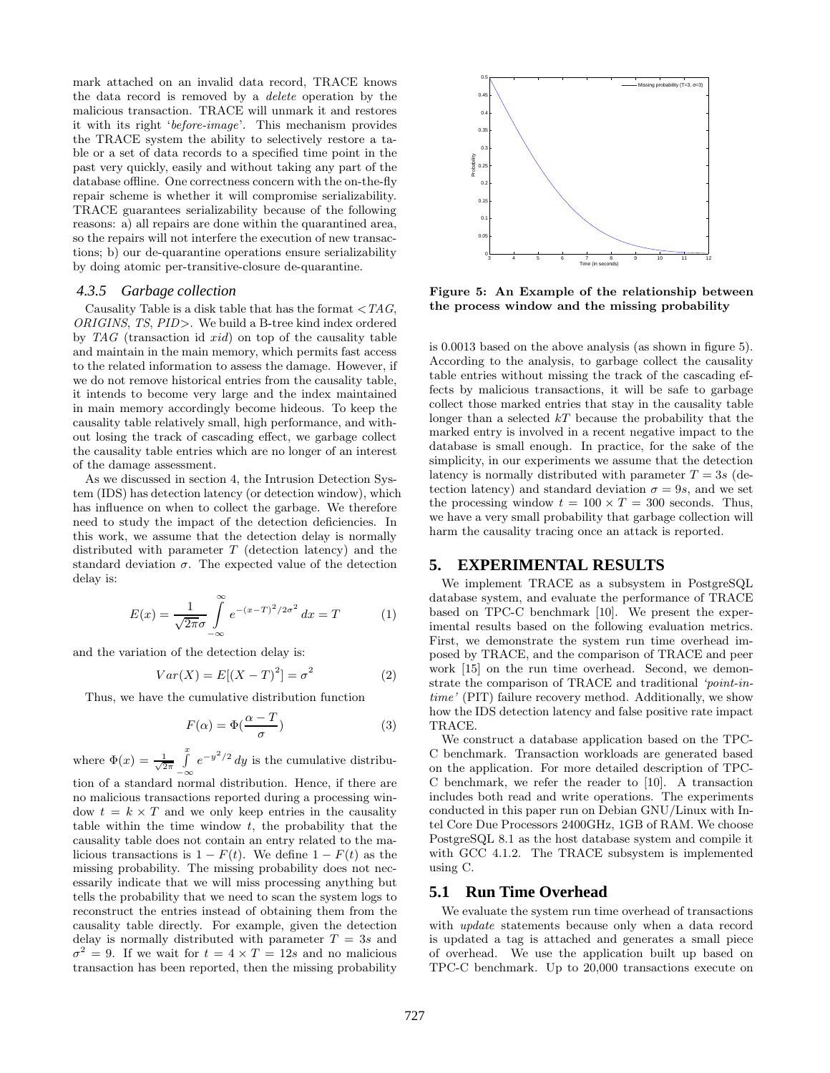mark attached on an invalid data record, TRACE knows the data record is removed by a delete operation by the malicious transaction. TRACE will unmark it and restores it with its right 'before-image'. This mechanism provides the TRACE system the ability to selectively restore a table or a set of data records to a specified time point in the past very quickly, easily and without taking any part of the database offline. One correctness concern with the on-the-fly repair scheme is whether it will compromise serializability. TRACE guarantees serializability because of the following reasons: a) all repairs are done within the quarantined area, so the repairs will not interfere the execution of new transactions; b) our de-quarantine operations ensure serializability by doing atomic per-transitive-closure de-quarantine.

#### *4.3.5 Garbage collection*

Causality Table is a disk table that has the format  $\langle TAG, \rangle$ ORIGINS, TS, PID>. We build a B-tree kind index ordered by  $TAG$  (transaction id  $xid$ ) on top of the causality table and maintain in the main memory, which permits fast access to the related information to assess the damage. However, if we do not remove historical entries from the causality table, it intends to become very large and the index maintained in main memory accordingly become hideous. To keep the causality table relatively small, high performance, and without losing the track of cascading effect, we garbage collect the causality table entries which are no longer of an interest of the damage assessment.

As we discussed in section 4, the Intrusion Detection System (IDS) has detection latency (or detection window), which has influence on when to collect the garbage. We therefore need to study the impact of the detection deficiencies. In this work, we assume that the detection delay is normally distributed with parameter  $T$  (detection latency) and the standard deviation  $\sigma$ . The expected value of the detection delay is:

$$
E(x) = \frac{1}{\sqrt{2\pi}\sigma} \int_{-\infty}^{\infty} e^{-(x-T)^2/2\sigma^2} dx = T
$$
 (1)

and the variation of the detection delay is:

$$
Var(X) = E[(X - T)^{2}] = \sigma^{2}
$$
 (2)

Thus, we have the cumulative distribution function

$$
F(\alpha) = \Phi(\frac{\alpha - T}{\sigma})
$$
\n(3)

where  $\Phi(x) = \frac{1}{\sqrt{2\pi}} \int_{-\infty}^{x} e^{-y^2/2} dy$  is the cumulative distribu-

tion of a standard normal distribution. Hence, if there are no malicious transactions reported during a processing window  $t = k \times T$  and we only keep entries in the causality table within the time window  $t$ , the probability that the causality table does not contain an entry related to the malicious transactions is  $1 - F(t)$ . We define  $1 - F(t)$  as the missing probability. The missing probability does not necessarily indicate that we will miss processing anything but tells the probability that we need to scan the system logs to reconstruct the entries instead of obtaining them from the causality table directly. For example, given the detection delay is normally distributed with parameter  $T = 3s$  and  $\sigma^2 = 9$ . If we wait for  $t = 4 \times T = 12s$  and no malicious transaction has been reported, then the missing probability



Figure 5: An Example of the relationship between the process window and the missing probability

is 0.0013 based on the above analysis (as shown in figure 5). According to the analysis, to garbage collect the causality table entries without missing the track of the cascading effects by malicious transactions, it will be safe to garbage collect those marked entries that stay in the causality table longer than a selected  $kT$  because the probability that the marked entry is involved in a recent negative impact to the database is small enough. In practice, for the sake of the simplicity, in our experiments we assume that the detection latency is normally distributed with parameter  $T = 3s$  (detection latency) and standard deviation  $\sigma = 9s$ , and we set the processing window  $t = 100 \times T = 300$  seconds. Thus, we have a very small probability that garbage collection will harm the causality tracing once an attack is reported.

## **5. EXPERIMENTAL RESULTS**

We implement TRACE as a subsystem in PostgreSQL database system, and evaluate the performance of TRACE based on TPC-C benchmark [10]. We present the experimental results based on the following evaluation metrics. First, we demonstrate the system run time overhead imposed by TRACE, and the comparison of TRACE and peer work [15] on the run time overhead. Second, we demonstrate the comparison of TRACE and traditional 'point-intime' (PIT) failure recovery method. Additionally, we show how the IDS detection latency and false positive rate impact TRACE.

We construct a database application based on the TPC-C benchmark. Transaction workloads are generated based on the application. For more detailed description of TPC-C benchmark, we refer the reader to [10]. A transaction includes both read and write operations. The experiments conducted in this paper run on Debian GNU/Linux with Intel Core Due Processors 2400GHz, 1GB of RAM. We choose PostgreSQL 8.1 as the host database system and compile it with GCC 4.1.2. The TRACE subsystem is implemented using C.

#### **5.1 Run Time Overhead**

We evaluate the system run time overhead of transactions with *update* statements because only when a data record is updated a tag is attached and generates a small piece of overhead. We use the application built up based on TPC-C benchmark. Up to 20,000 transactions execute on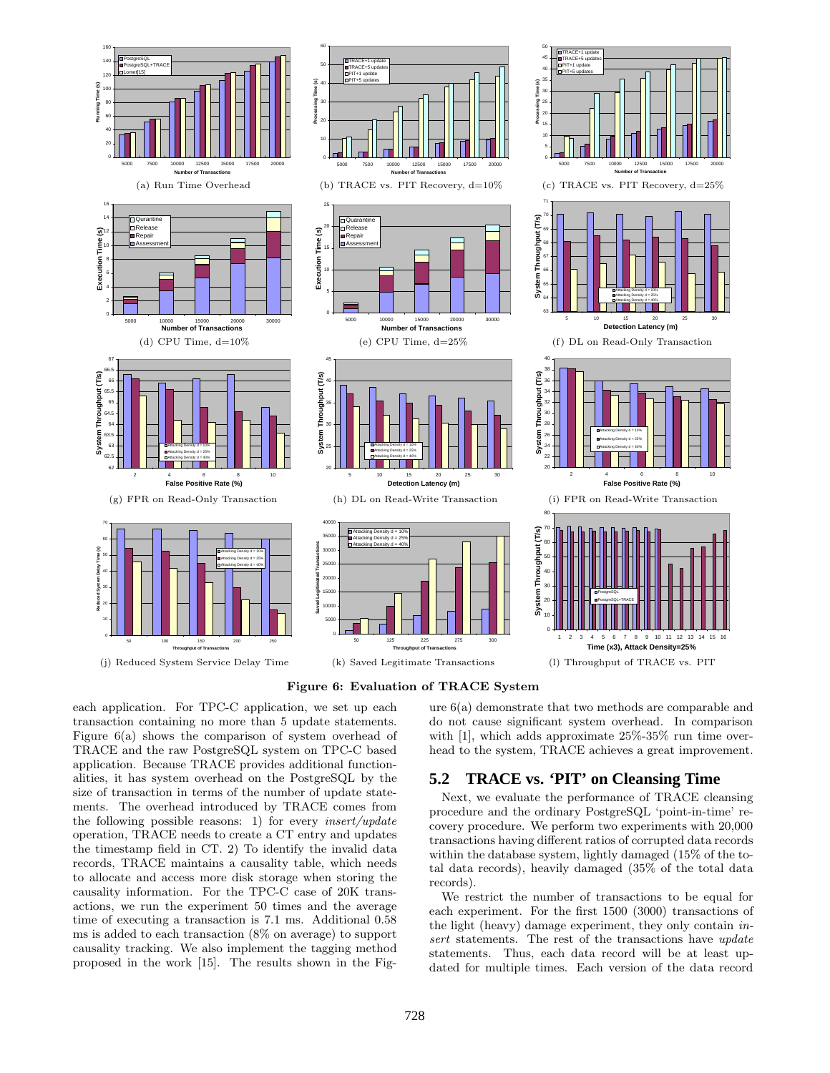

Figure 6: Evaluation of TRACE System

each application. For TPC-C application, we set up each transaction containing no more than 5 update statements. Figure 6(a) shows the comparison of system overhead of TRACE and the raw PostgreSQL system on TPC-C based application. Because TRACE provides additional functionalities, it has system overhead on the PostgreSQL by the size of transaction in terms of the number of update statements. The overhead introduced by TRACE comes from the following possible reasons: 1) for every *insert/update* operation, TRACE needs to create a CT entry and updates the timestamp field in CT. 2) To identify the invalid data records, TRACE maintains a causality table, which needs to allocate and access more disk storage when storing the causality information. For the TPC-C case of 20K transactions, we run the experiment 50 times and the average time of executing a transaction is 7.1 ms. Additional 0.58 ms is added to each transaction (8% on average) to support causality tracking. We also implement the tagging method proposed in the work [15]. The results shown in the Figure 6(a) demonstrate that two methods are comparable and do not cause significant system overhead. In comparison with [1], which adds approximate 25%-35% run time overhead to the system, TRACE achieves a great improvement.

## **5.2 TRACE vs. 'PIT' on Cleansing Time**

Next, we evaluate the performance of TRACE cleansing procedure and the ordinary PostgreSQL 'point-in-time' recovery procedure. We perform two experiments with 20,000 transactions having different ratios of corrupted data records within the database system, lightly damaged (15% of the total data records), heavily damaged (35% of the total data records).

We restrict the number of transactions to be equal for each experiment. For the first 1500 (3000) transactions of the light (heavy) damage experiment, they only contain insert statements. The rest of the transactions have update statements. Thus, each data record will be at least updated for multiple times. Each version of the data record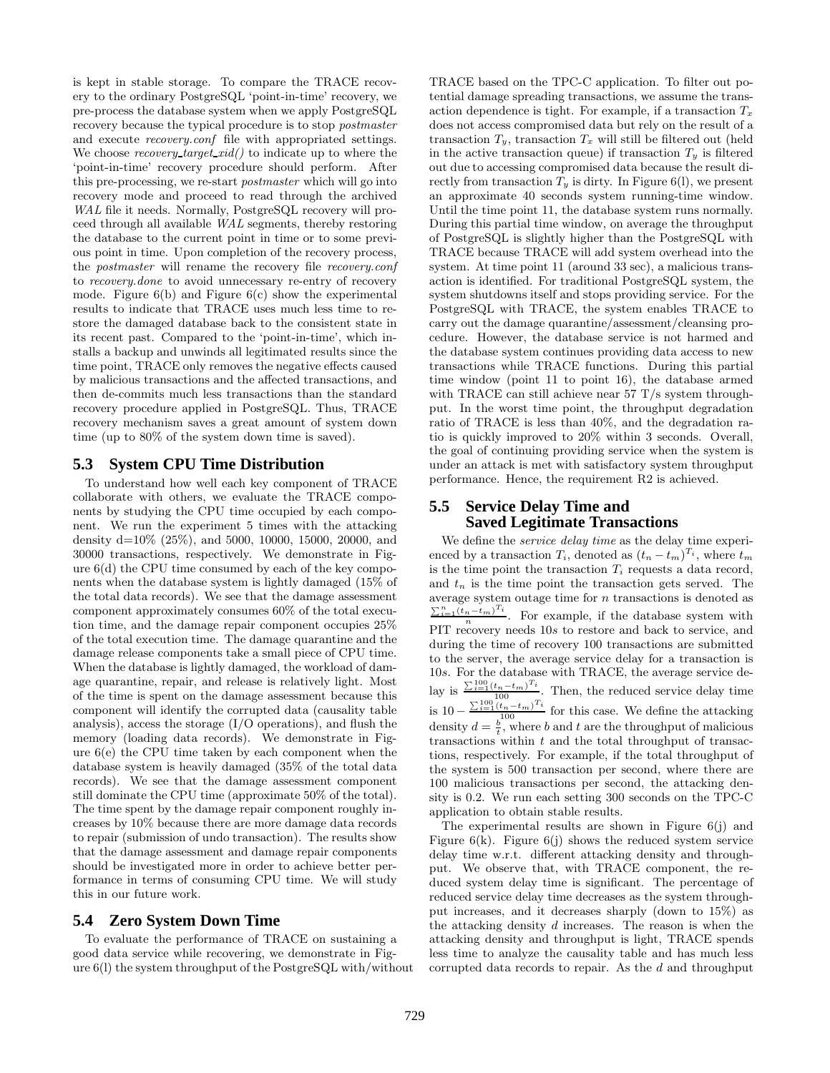is kept in stable storage. To compare the TRACE recovery to the ordinary PostgreSQL 'point-in-time' recovery, we pre-process the database system when we apply PostgreSQL recovery because the typical procedure is to stop postmaster and execute recovery.conf file with appropriated settings. We choose *recovery target xid*() to indicate up to where the 'point-in-time' recovery procedure should perform. After this pre-processing, we re-start postmaster which will go into recovery mode and proceed to read through the archived WAL file it needs. Normally, PostgreSQL recovery will proceed through all available WAL segments, thereby restoring the database to the current point in time or to some previous point in time. Upon completion of the recovery process, the postmaster will rename the recovery file recovery.conf to recovery.done to avoid unnecessary re-entry of recovery mode. Figure  $6(b)$  and Figure  $6(c)$  show the experimental results to indicate that TRACE uses much less time to restore the damaged database back to the consistent state in its recent past. Compared to the 'point-in-time', which installs a backup and unwinds all legitimated results since the time point, TRACE only removes the negative effects caused by malicious transactions and the affected transactions, and then de-commits much less transactions than the standard recovery procedure applied in PostgreSQL. Thus, TRACE recovery mechanism saves a great amount of system down time (up to 80% of the system down time is saved).

## **5.3 System CPU Time Distribution**

To understand how well each key component of TRACE collaborate with others, we evaluate the TRACE components by studying the CPU time occupied by each component. We run the experiment 5 times with the attacking density d=10% (25%), and 5000, 10000, 15000, 20000, and 30000 transactions, respectively. We demonstrate in Figure  $6(d)$  the CPU time consumed by each of the key components when the database system is lightly damaged (15% of the total data records). We see that the damage assessment component approximately consumes 60% of the total execution time, and the damage repair component occupies 25% of the total execution time. The damage quarantine and the damage release components take a small piece of CPU time. When the database is lightly damaged, the workload of damage quarantine, repair, and release is relatively light. Most of the time is spent on the damage assessment because this component will identify the corrupted data (causality table analysis), access the storage (I/O operations), and flush the memory (loading data records). We demonstrate in Figure 6(e) the CPU time taken by each component when the database system is heavily damaged (35% of the total data records). We see that the damage assessment component still dominate the CPU time (approximate 50% of the total). The time spent by the damage repair component roughly increases by 10% because there are more damage data records to repair (submission of undo transaction). The results show that the damage assessment and damage repair components should be investigated more in order to achieve better performance in terms of consuming CPU time. We will study this in our future work.

## **5.4 Zero System Down Time**

To evaluate the performance of TRACE on sustaining a good data service while recovering, we demonstrate in Figure 6(l) the system throughput of the PostgreSQL with/without TRACE based on the TPC-C application. To filter out potential damage spreading transactions, we assume the transaction dependence is tight. For example, if a transaction  $T_x$ does not access compromised data but rely on the result of a transaction  $T_y$ , transaction  $T_x$  will still be filtered out (held in the active transaction queue) if transaction  $T<sub>y</sub>$  is filtered out due to accessing compromised data because the result directly from transaction  $T<sub>y</sub>$  is dirty. In Figure 6(1), we present an approximate 40 seconds system running-time window. Until the time point 11, the database system runs normally. During this partial time window, on average the throughput of PostgreSQL is slightly higher than the PostgreSQL with TRACE because TRACE will add system overhead into the system. At time point 11 (around 33 sec), a malicious transaction is identified. For traditional PostgreSQL system, the system shutdowns itself and stops providing service. For the PostgreSQL with TRACE, the system enables TRACE to carry out the damage quarantine/assessment/cleansing procedure. However, the database service is not harmed and the database system continues providing data access to new transactions while TRACE functions. During this partial time window (point 11 to point 16), the database armed with TRACE can still achieve near 57  $T/s$  system throughput. In the worst time point, the throughput degradation ratio of TRACE is less than 40%, and the degradation ratio is quickly improved to 20% within 3 seconds. Overall, the goal of continuing providing service when the system is under an attack is met with satisfactory system throughput performance. Hence, the requirement R2 is achieved.

## **5.5 Service Delay Time and Saved Legitimate Transactions**

We define the *service delay time* as the delay time experienced by a transaction  $T_i$ , denoted as  $(t_n - t_m)^{T_i}$ , where  $t_m$ is the time point the transaction  $T_i$  requests a data record, and  $t_n$  is the time point the transaction gets served. The average system outage time for  $n$  transactions is denoted as  $\frac{\sum_{i=1}^{n}(t_n-t_m)^{T_i}}{n}$ . For example, if the database system with PIT recovery needs 10s to restore and back to service, and during the time of recovery 100 transactions are submitted to the server, the average service delay for a transaction is 10s. For the database with TRACE, the average service delay is  $\frac{\sum_{i=1}^{100} (t_n-t_m)^{T_i}}{100}$ . Then, the reduced service delay time is  $10 - \frac{\sum_{i=1}^{100} (t_n - t_m)^{T_i}}{100}$  for this case. We define the attacking density  $d = \frac{b}{t}$ , where b and t are the throughput of malicious transactions within  $t$  and the total throughput of transactions, respectively. For example, if the total throughput of the system is 500 transaction per second, where there are 100 malicious transactions per second, the attacking density is 0.2. We run each setting 300 seconds on the TPC-C application to obtain stable results.

The experimental results are shown in Figure 6(j) and Figure  $6(k)$ . Figure  $6(i)$  shows the reduced system service delay time w.r.t. different attacking density and throughput. We observe that, with TRACE component, the reduced system delay time is significant. The percentage of reduced service delay time decreases as the system throughput increases, and it decreases sharply (down to 15%) as the attacking density  $d$  increases. The reason is when the attacking density and throughput is light, TRACE spends less time to analyze the causality table and has much less corrupted data records to repair. As the  $d$  and throughput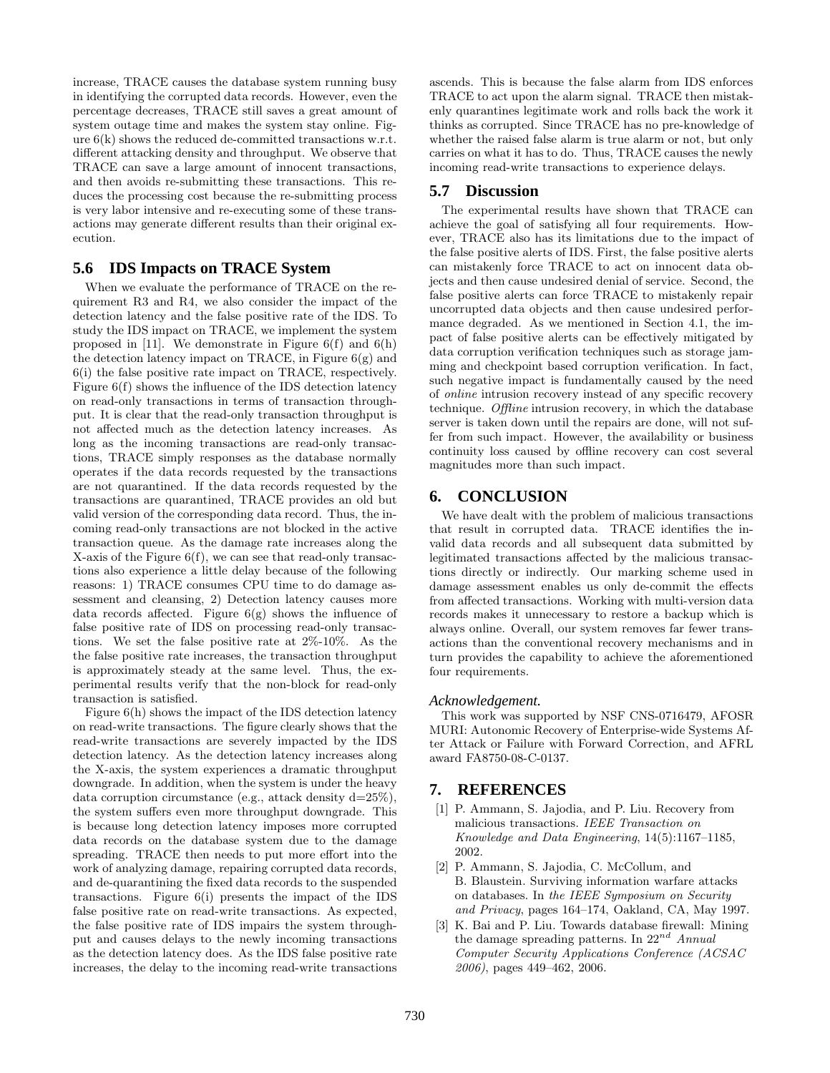increase, TRACE causes the database system running busy in identifying the corrupted data records. However, even the percentage decreases, TRACE still saves a great amount of system outage time and makes the system stay online. Figure 6(k) shows the reduced de-committed transactions w.r.t. different attacking density and throughput. We observe that TRACE can save a large amount of innocent transactions, and then avoids re-submitting these transactions. This reduces the processing cost because the re-submitting process is very labor intensive and re-executing some of these transactions may generate different results than their original execution.

## **5.6 IDS Impacts on TRACE System**

When we evaluate the performance of TRACE on the requirement R3 and R4, we also consider the impact of the detection latency and the false positive rate of the IDS. To study the IDS impact on TRACE, we implement the system proposed in [11]. We demonstrate in Figure 6(f) and 6(h) the detection latency impact on TRACE, in Figure  $6(g)$  and 6(i) the false positive rate impact on TRACE, respectively. Figure 6(f) shows the influence of the IDS detection latency on read-only transactions in terms of transaction throughput. It is clear that the read-only transaction throughput is not affected much as the detection latency increases. As long as the incoming transactions are read-only transactions, TRACE simply responses as the database normally operates if the data records requested by the transactions are not quarantined. If the data records requested by the transactions are quarantined, TRACE provides an old but valid version of the corresponding data record. Thus, the incoming read-only transactions are not blocked in the active transaction queue. As the damage rate increases along the X-axis of the Figure 6(f), we can see that read-only transactions also experience a little delay because of the following reasons: 1) TRACE consumes CPU time to do damage assessment and cleansing, 2) Detection latency causes more data records affected. Figure  $6(g)$  shows the influence of false positive rate of IDS on processing read-only transactions. We set the false positive rate at 2%-10%. As the the false positive rate increases, the transaction throughput is approximately steady at the same level. Thus, the experimental results verify that the non-block for read-only transaction is satisfied.

Figure 6(h) shows the impact of the IDS detection latency on read-write transactions. The figure clearly shows that the read-write transactions are severely impacted by the IDS detection latency. As the detection latency increases along the X-axis, the system experiences a dramatic throughput downgrade. In addition, when the system is under the heavy data corruption circumstance (e.g., attack density d=25%), the system suffers even more throughput downgrade. This is because long detection latency imposes more corrupted data records on the database system due to the damage spreading. TRACE then needs to put more effort into the work of analyzing damage, repairing corrupted data records, and de-quarantining the fixed data records to the suspended transactions. Figure 6(i) presents the impact of the IDS false positive rate on read-write transactions. As expected, the false positive rate of IDS impairs the system throughput and causes delays to the newly incoming transactions as the detection latency does. As the IDS false positive rate increases, the delay to the incoming read-write transactions ascends. This is because the false alarm from IDS enforces TRACE to act upon the alarm signal. TRACE then mistakenly quarantines legitimate work and rolls back the work it thinks as corrupted. Since TRACE has no pre-knowledge of whether the raised false alarm is true alarm or not, but only carries on what it has to do. Thus, TRACE causes the newly incoming read-write transactions to experience delays.

## **5.7 Discussion**

The experimental results have shown that TRACE can achieve the goal of satisfying all four requirements. However, TRACE also has its limitations due to the impact of the false positive alerts of IDS. First, the false positive alerts can mistakenly force TRACE to act on innocent data objects and then cause undesired denial of service. Second, the false positive alerts can force TRACE to mistakenly repair uncorrupted data objects and then cause undesired performance degraded. As we mentioned in Section 4.1, the impact of false positive alerts can be effectively mitigated by data corruption verification techniques such as storage jamming and checkpoint based corruption verification. In fact, such negative impact is fundamentally caused by the need of online intrusion recovery instead of any specific recovery technique. Offline intrusion recovery, in which the database server is taken down until the repairs are done, will not suffer from such impact. However, the availability or business continuity loss caused by offline recovery can cost several magnitudes more than such impact.

## **6. CONCLUSION**

We have dealt with the problem of malicious transactions that result in corrupted data. TRACE identifies the invalid data records and all subsequent data submitted by legitimated transactions affected by the malicious transactions directly or indirectly. Our marking scheme used in damage assessment enables us only de-commit the effects from affected transactions. Working with multi-version data records makes it unnecessary to restore a backup which is always online. Overall, our system removes far fewer transactions than the conventional recovery mechanisms and in turn provides the capability to achieve the aforementioned four requirements.

#### *Acknowledgement.*

This work was supported by NSF CNS-0716479, AFOSR MURI: Autonomic Recovery of Enterprise-wide Systems After Attack or Failure with Forward Correction, and AFRL award FA8750-08-C-0137.

## **7. REFERENCES**

- [1] P. Ammann, S. Jajodia, and P. Liu. Recovery from malicious transactions. IEEE Transaction on Knowledge and Data Engineering, 14(5):1167–1185, 2002.
- [2] P. Ammann, S. Jajodia, C. McCollum, and B. Blaustein. Surviving information warfare attacks on databases. In the IEEE Symposium on Security and Privacy, pages 164–174, Oakland, CA, May 1997.
- [3] K. Bai and P. Liu. Towards database firewall: Mining the damage spreading patterns. In  $22^{nd}$  Annual Computer Security Applications Conference (ACSAC 2006), pages 449–462, 2006.